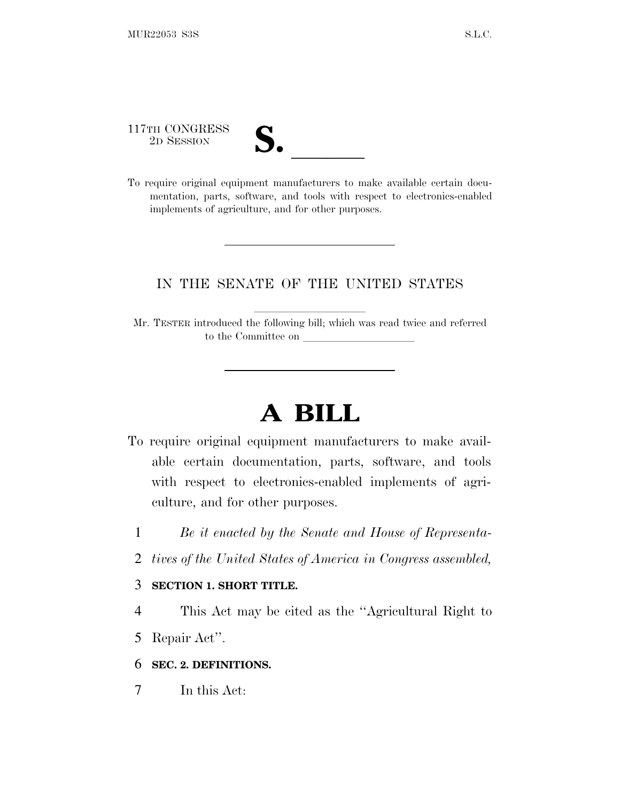117TH CONGRESS

| ┑<br>Æ                   |  |
|--------------------------|--|
| $\overline{\mathcal{U}}$ |  |
|                          |  |

117TH CONGRESS<br>
2D SESSION<br>
To require original equipment manufacturers to make available certain documentation, parts, software, and tools with respect to electronics-enabled implements of agriculture, and for other purposes.

# IN THE SENATE OF THE UNITED STATES

Mr. TESTER introduced the following bill; which was read twice and referred to the Committee on

# **A BILL**

- To require original equipment manufacturers to make available certain documentation, parts, software, and tools with respect to electronics-enabled implements of agriculture, and for other purposes.
	- 1 *Be it enacted by the Senate and House of Representa-*
	- 2 *tives of the United States of America in Congress assembled,*

#### 3 **SECTION 1. SHORT TITLE.**

4 This Act may be cited as the ''Agricultural Right to

5 Repair Act''.

6 **SEC. 2. DEFINITIONS.**

7 In this Act: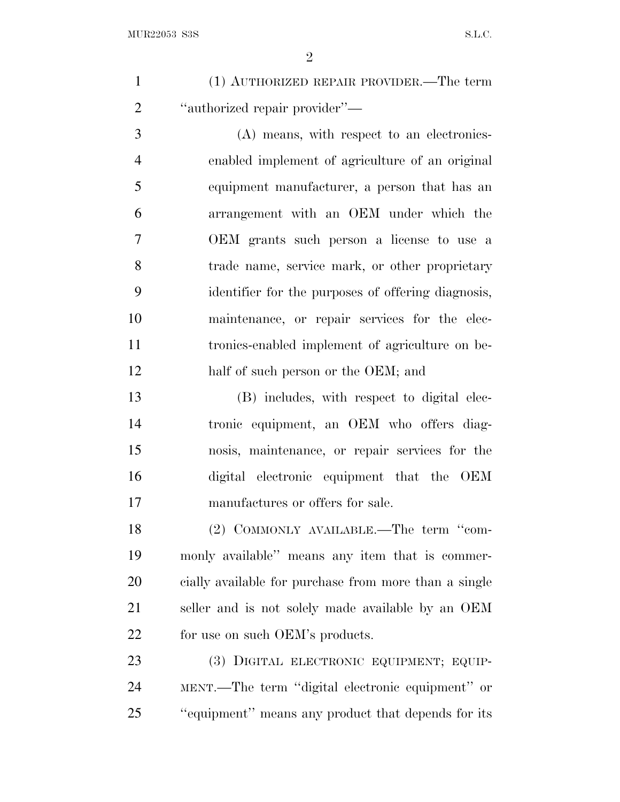| (1) AUTHORIZED REPAIR PROVIDER.—The term        |
|-------------------------------------------------|
| "authorized repair provider"—                   |
| $(\Lambda)$ moong with regneet to an electronic |

 (A) means, with respect to an electronics- enabled implement of agriculture of an original equipment manufacturer, a person that has an arrangement with an OEM under which the OEM grants such person a license to use a trade name, service mark, or other proprietary identifier for the purposes of offering diagnosis, maintenance, or repair services for the elec- tronics-enabled implement of agriculture on be-12 half of such person or the OEM; and

 (B) includes, with respect to digital elec- tronic equipment, an OEM who offers diag- nosis, maintenance, or repair services for the digital electronic equipment that the OEM manufactures or offers for sale.

18 (2) COMMONLY AVAILABLE.—The term "com- monly available'' means any item that is commer- cially available for purchase from more than a single seller and is not solely made available by an OEM for use on such OEM's products.

23 (3) DIGITAL ELECTRONIC EQUIPMENT; EQUIP- MENT.—The term ''digital electronic equipment'' or ''equipment'' means any product that depends for its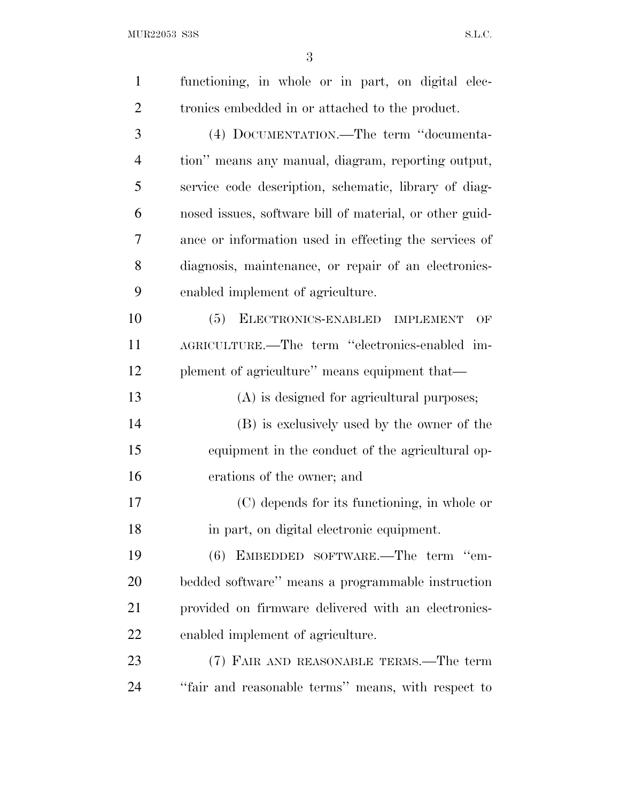$\rm MUR22053\_SS \rm S. L.C.$ 

| $\mathbf{1}$   | functioning, in whole or in part, on digital elec-      |
|----------------|---------------------------------------------------------|
| $\overline{2}$ | tronics embedded in or attached to the product.         |
| 3              | (4) DOCUMENTATION.—The term "documenta-                 |
| $\overline{4}$ | tion" means any manual, diagram, reporting output,      |
| 5              | service code description, schematic, library of diag-   |
| 6              | nosed issues, software bill of material, or other guid- |
| 7              | ance or information used in effecting the services of   |
| 8              | diagnosis, maintenance, or repair of an electronics-    |
| 9              | enabled implement of agriculture.                       |
| 10             | ELECTRONICS-ENABLED IMPLEMENT<br>(5)<br>OF              |
| 11             | AGRICULTURE.—The term "electronics-enabled im-          |
| 12             | plement of agriculture" means equipment that—           |
| 13             | (A) is designed for agricultural purposes;              |
| 14             | (B) is exclusively used by the owner of the             |
| 15             | equipment in the conduct of the agricultural op-        |
| 16             | erations of the owner; and                              |
| 17             | (C) depends for its functioning, in whole or            |
| 18             | in part, on digital electronic equipment.               |
| 19             | (6) EMBEDDED SOFTWARE.—The term "em-                    |
| 20             | bedded software" means a programmable instruction       |
| 21             | provided on firmware delivered with an electronics-     |
| 22             | enabled implement of agriculture.                       |
| 23             | (7) FAIR AND REASONABLE TERMS.—The term                 |
| 24             | "fair and reasonable terms" means, with respect to      |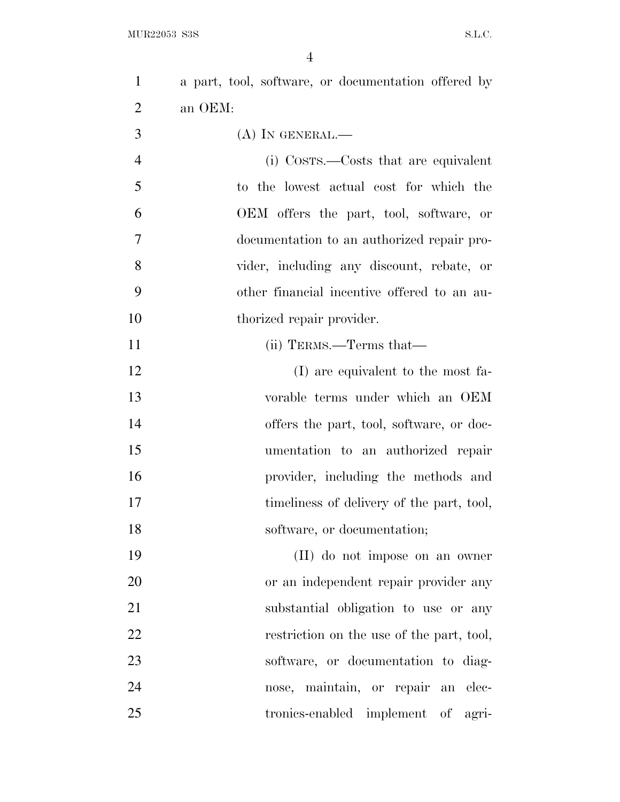| $\mathbf{1}$   | a part, tool, software, or documentation offered by |
|----------------|-----------------------------------------------------|
| $\overline{2}$ | an OEM:                                             |
| 3              | $(A)$ In GENERAL.—                                  |
| $\overline{4}$ | (i) Costs.—Costs that are equivalent                |
| 5              | to the lowest actual cost for which the             |
| 6              | OEM offers the part, tool, software, or             |
| 7              | documentation to an authorized repair pro-          |
| 8              | vider, including any discount, rebate, or           |
| 9              | other financial incentive offered to an au-         |
| 10             | thorized repair provider.                           |
| 11             | (ii) TERMS.—Terms that—                             |
| 12             | (I) are equivalent to the most fa-                  |
| 13             | vorable terms under which an OEM                    |
| 14             | offers the part, tool, software, or doc-            |
| 15             | umentation to an authorized repair                  |
| 16             | provider, including the methods and                 |
| 17             | timeliness of delivery of the part, tool,           |
| 18             | software, or documentation;                         |
| 19             | (II) do not impose on an owner                      |
| 20             | or an independent repair provider any               |
| 21             | substantial obligation to use or any                |
| 22             | restriction on the use of the part, tool,           |
| 23             | software, or documentation to diag-                 |
| 24             | nose, maintain, or repair an elec-                  |
| 25             | tronics-enabled implement of<br>agri-               |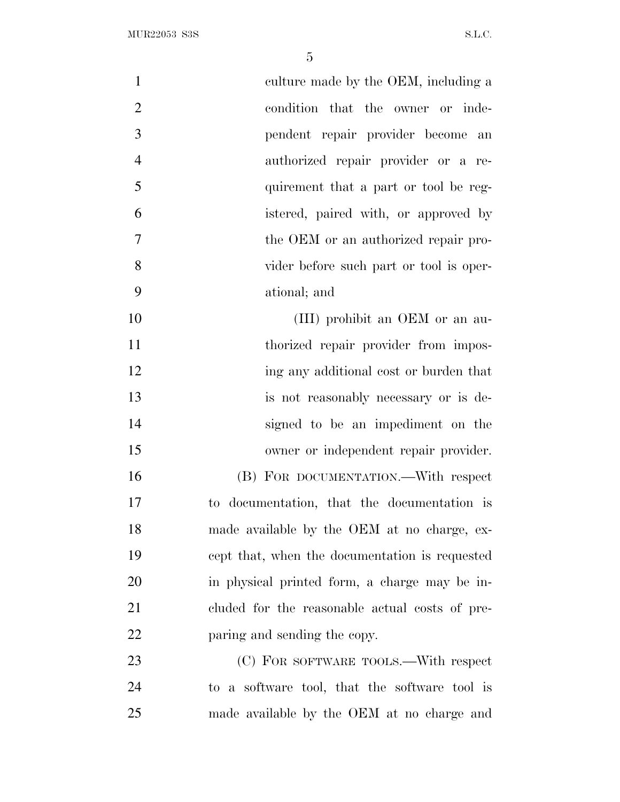| $\mathbf{1}$   | culture made by the OEM, including a           |
|----------------|------------------------------------------------|
| $\overline{2}$ | condition that the owner or inde-              |
| 3              | pendent repair provider become<br>an           |
| $\overline{4}$ | authorized repair provider or a re-            |
| 5              | quirement that a part or tool be reg-          |
| 6              | istered, paired with, or approved by           |
| 7              | the OEM or an authorized repair pro-           |
| 8              | vider before such part or tool is oper-        |
| 9              | ational; and                                   |
| 10             | (III) prohibit an OEM or an au-                |
| 11             | thorized repair provider from impos-           |
| 12             | ing any additional cost or burden that         |
| 13             | is not reasonably necessary or is de-          |
| 14             | signed to be an impediment on the              |
| 15             | owner or independent repair provider.          |
| 16             | (B) FOR DOCUMENTATION.—With respect            |
| 17             | to documentation, that the documentation is    |
| 18             | made available by the OEM at no charge, ex-    |
| 19             | cept that, when the documentation is requested |
| 20             | in physical printed form, a charge may be in-  |
| 21             | cluded for the reasonable actual costs of pre- |
| 22             | paring and sending the copy.                   |
| 23             | (C) FOR SOFTWARE TOOLS.—With respect           |
| 24             | to a software tool, that the software tool is  |
| 25             | made available by the OEM at no charge and     |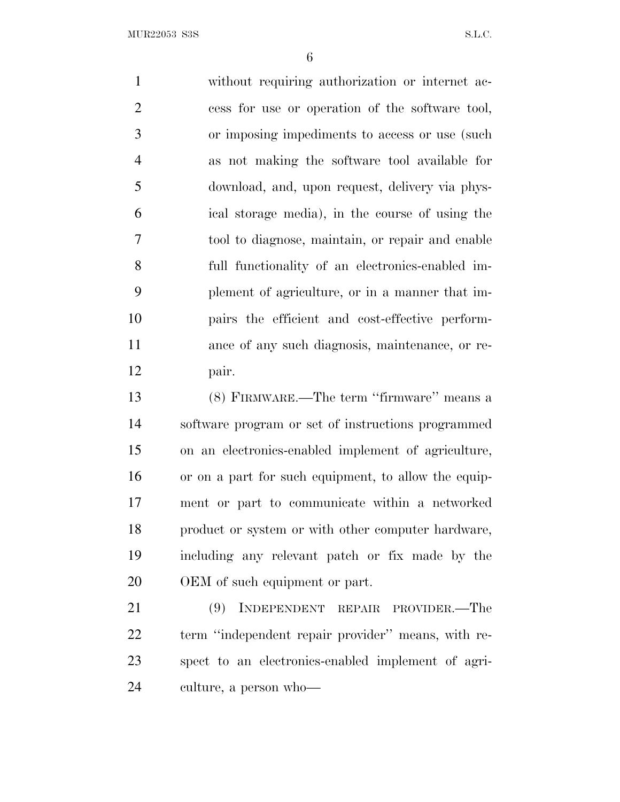$MUR22053$  S3S S.L.C.

 without requiring authorization or internet ac- cess for use or operation of the software tool, or imposing impediments to access or use (such as not making the software tool available for download, and, upon request, delivery via phys- ical storage media), in the course of using the tool to diagnose, maintain, or repair and enable full functionality of an electronics-enabled im- plement of agriculture, or in a manner that im- pairs the efficient and cost-effective perform- ance of any such diagnosis, maintenance, or re- pair. (8) FIRMWARE.—The term ''firmware'' means a

 software program or set of instructions programmed on an electronics-enabled implement of agriculture, or on a part for such equipment, to allow the equip- ment or part to communicate within a networked product or system or with other computer hardware, including any relevant patch or fix made by the OEM of such equipment or part.

 (9) INDEPENDENT REPAIR PROVIDER.—The term ''independent repair provider'' means, with re- spect to an electronics-enabled implement of agri-culture, a person who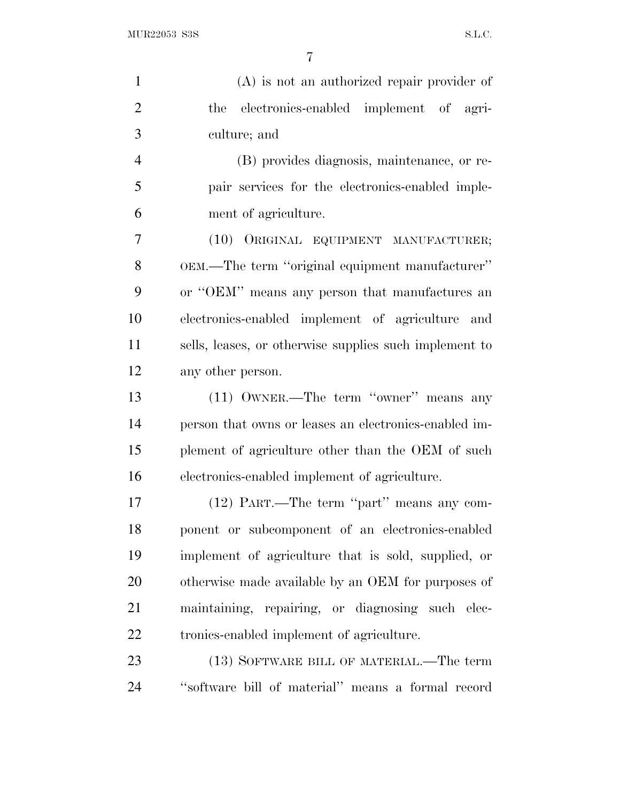$\rm MUR22053\_SS \rm S. L.C.$ 

| $\mathbf{1}$   | $(A)$ is not an authorized repair provider of          |
|----------------|--------------------------------------------------------|
| $\overline{2}$ | electronics-enabled implement of agri-<br>the          |
| 3              | culture; and                                           |
| $\overline{4}$ | (B) provides diagnosis, maintenance, or re-            |
| 5              | pair services for the electronics-enabled imple-       |
| 6              | ment of agriculture.                                   |
| 7              | (10) ORIGINAL EQUIPMENT MANUFACTURER;                  |
| 8              | OEM.—The term "original equipment manufacturer"        |
| 9              | or "OEM" means any person that manufactures an         |
| 10             | electronics-enabled implement of agriculture and       |
| 11             | sells, leases, or otherwise supplies such implement to |
| 12             | any other person.                                      |
| 13             | (11) OWNER.—The term "owner" means any                 |
| 14             | person that owns or leases an electronics-enabled im-  |
| 15             | plement of agriculture other than the OEM of such      |
| 16             | electronics-enabled implement of agriculture.          |
| 17             | (12) PART.—The term "part" means any com-              |
| 18             | ponent or subcomponent of an electronics-enabled       |
| 19             | implement of agriculture that is sold, supplied, or    |
| 20             | otherwise made available by an OEM for purposes of     |
| 21             | maintaining, repairing, or diagnosing such elec-       |
| <u>22</u>      | tronics-enabled implement of agriculture.              |
| 23             | (13) SOFTWARE BILL OF MATERIAL.—The term               |
| 24             | "software bill of material" means a formal record      |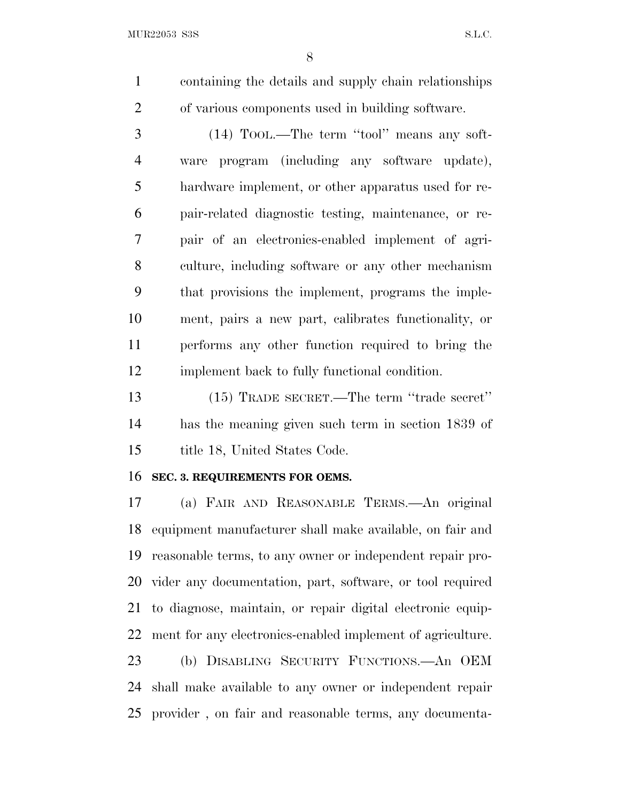$MUR22053$  S3S S.L.C.

 containing the details and supply chain relationships of various components used in building software.

 (14) TOOL.—The term ''tool'' means any soft- ware program (including any software update), hardware implement, or other apparatus used for re- pair-related diagnostic testing, maintenance, or re- pair of an electronics-enabled implement of agri- culture, including software or any other mechanism that provisions the implement, programs the imple- ment, pairs a new part, calibrates functionality, or performs any other function required to bring the implement back to fully functional condition.

 (15) TRADE SECRET.—The term ''trade secret'' has the meaning given such term in section 1839 of title 18, United States Code.

#### **SEC. 3. REQUIREMENTS FOR OEMS.**

 (a) FAIR AND REASONABLE TERMS.—An original equipment manufacturer shall make available, on fair and reasonable terms, to any owner or independent repair pro- vider any documentation, part, software, or tool required to diagnose, maintain, or repair digital electronic equip- ment for any electronics-enabled implement of agriculture. (b) DISABLING SECURITY FUNCTIONS.—An OEM shall make available to any owner or independent repair provider , on fair and reasonable terms, any documenta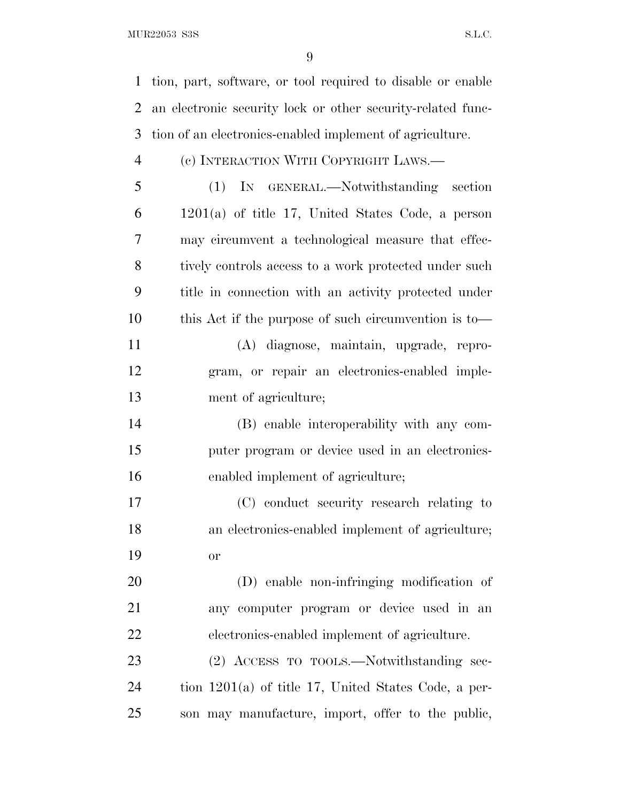$MUR22053$  S3S S.L.C.

tion, part, software, or tool required to disable or enable

 an electronic security lock or other security-related func- tion of an electronics-enabled implement of agriculture. (c) INTERACTION WITH COPYRIGHT LAWS.— (1) IN GENERAL.—Notwithstanding section 1201(a) of title 17, United States Code, a person may circumvent a technological measure that effec-8 tively controls access to a work protected under such title in connection with an activity protected under this Act if the purpose of such circumvention is to— (A) diagnose, maintain, upgrade, repro- gram, or repair an electronics-enabled imple- ment of agriculture; (B) enable interoperability with any com- puter program or device used in an electronics- enabled implement of agriculture; (C) conduct security research relating to an electronics-enabled implement of agriculture; or (D) enable non-infringing modification of any computer program or device used in an electronics-enabled implement of agriculture. (2) ACCESS TO TOOLS.—Notwithstanding sec-tion 1201(a) of title 17, United States Code, a per-

son may manufacture, import, offer to the public,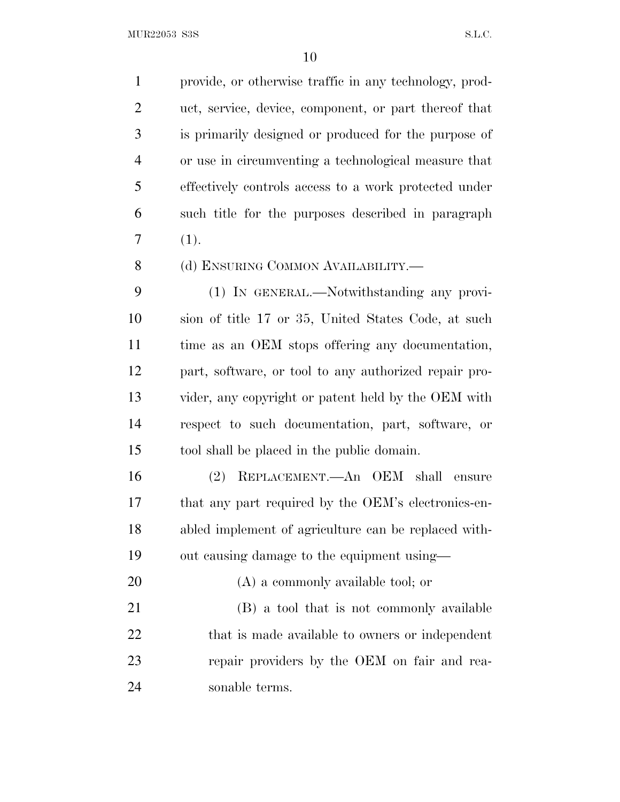provide, or otherwise traffic in any technology, prod- uct, service, device, component, or part thereof that is primarily designed or produced for the purpose of or use in circumventing a technological measure that effectively controls access to a work protected under such title for the purposes described in paragraph  $7(1).$ 8 (d) ENSURING COMMON AVAILABILITY.— (1) IN GENERAL.—Notwithstanding any provi- sion of title 17 or 35, United States Code, at such time as an OEM stops offering any documentation, part, software, or tool to any authorized repair pro-

 vider, any copyright or patent held by the OEM with respect to such documentation, part, software, or tool shall be placed in the public domain.

 (2) REPLACEMENT.—An OEM shall ensure that any part required by the OEM's electronics-en- abled implement of agriculture can be replaced with-out causing damage to the equipment using—

20 (A) a commonly available tool; or (B) a tool that is not commonly available 22 that is made available to owners or independent repair providers by the OEM on fair and rea-sonable terms.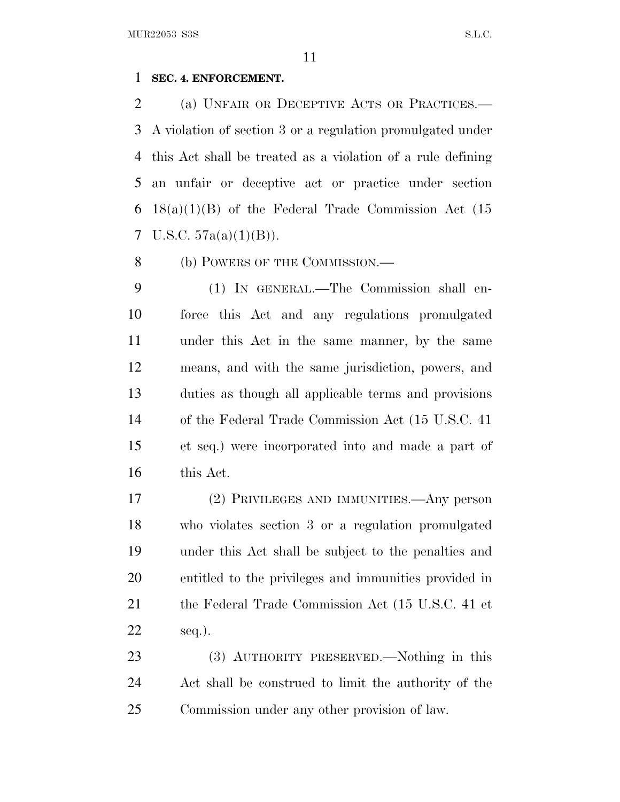#### **SEC. 4. ENFORCEMENT.**

 (a) UNFAIR OR DECEPTIVE ACTS OR PRACTICES.— A violation of section 3 or a regulation promulgated under this Act shall be treated as a violation of a rule defining an unfair or deceptive act or practice under section 18(a)(1)(B) of the Federal Trade Commission Act (15 7 U.S.C.  $57a(a)(1)(B)$ ).

8 (b) POWERS OF THE COMMISSION.—

 (1) IN GENERAL.—The Commission shall en- force this Act and any regulations promulgated under this Act in the same manner, by the same means, and with the same jurisdiction, powers, and duties as though all applicable terms and provisions of the Federal Trade Commission Act (15 U.S.C. 41 et seq.) were incorporated into and made a part of this Act.

 (2) PRIVILEGES AND IMMUNITIES.—Any person who violates section 3 or a regulation promulgated under this Act shall be subject to the penalties and entitled to the privileges and immunities provided in the Federal Trade Commission Act (15 U.S.C. 41 et seq.).

 (3) AUTHORITY PRESERVED.—Nothing in this Act shall be construed to limit the authority of the Commission under any other provision of law.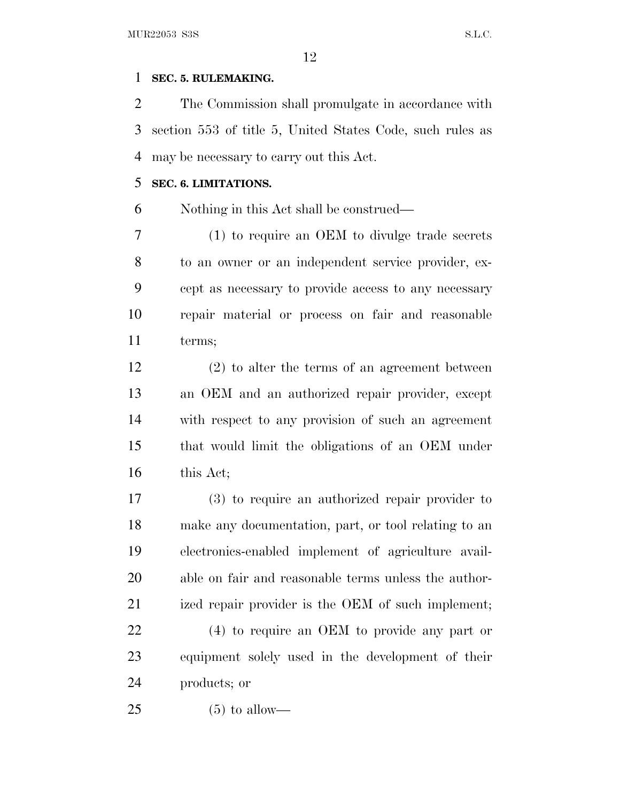## **SEC. 5. RULEMAKING.**

 The Commission shall promulgate in accordance with section 553 of title 5, United States Code, such rules as may be necessary to carry out this Act.

## **SEC. 6. LIMITATIONS.**

Nothing in this Act shall be construed—

 (1) to require an OEM to divulge trade secrets to an owner or an independent service provider, ex- cept as necessary to provide access to any necessary repair material or process on fair and reasonable terms;

 (2) to alter the terms of an agreement between an OEM and an authorized repair provider, except with respect to any provision of such an agreement that would limit the obligations of an OEM under 16 this Act;

 (3) to require an authorized repair provider to make any documentation, part, or tool relating to an electronics-enabled implement of agriculture avail- able on fair and reasonable terms unless the author-21 ized repair provider is the OEM of such implement;

 (4) to require an OEM to provide any part or equipment solely used in the development of their products; or

 $25 \t\t (5) \t\t to \text{ allow}$ —